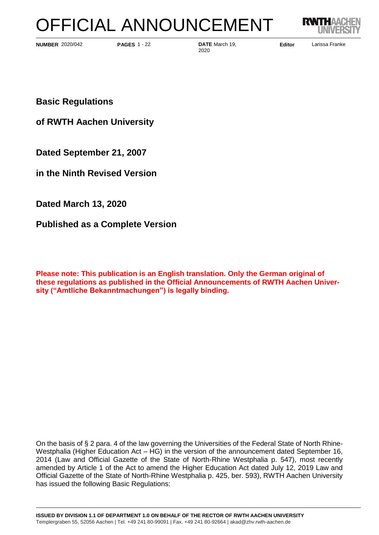# OFFICIAL ANNOUNCEMENT



**NUMBER** 2020/042 **PAGES** 1 - 22 **DATE** March 19, **Editor** 

2020/042 **PAGES** 1 - 22 **DATE** March 19, **Editor** Larissa Franke 2020

**Basic Regulations**

**of RWTH Aachen University**

**Dated September 21, 2007**

**in the Ninth Revised Version** 

**Dated March 13, 2020**

**Published as a Complete Version**

**Please note: This publication is an English translation. Only the German original of these regulations as published in the Official Announcements of RWTH Aachen University ("Amtliche Bekanntmachungen") is legally binding.**

On the basis of § 2 para. 4 of the law governing the Universities of the Federal State of North Rhine-Westphalia (Higher Education Act – HG) in the version of the announcement dated September 16, 2014 (Law and Official Gazette of the State of North-Rhine Westphalia p. 547), most recently amended by Article 1 of the Act to amend the Higher Education Act dated July 12, 2019 Law and Official Gazette of the State of North-Rhine Westphalia p. 425, ber. 593), RWTH Aachen University has issued the following Basic Regulations: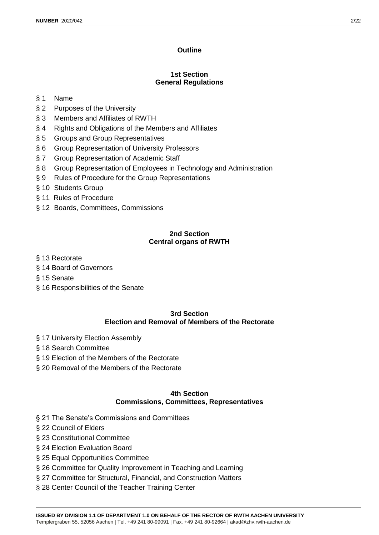# **Outline**

# **1st Section General Regulations**

# § 1 Name

- § 2 Purposes of the University
- § 3 Members and Affiliates of RWTH
- § 4 Rights and Obligations of the Members and Affiliates
- § 5 Groups and Group Representatives
- § 6 Group Representation of University Professors
- § 7 Group Representation of Academic Staff
- § 8 Group Representation of Employees in Technology and Administration
- § 9 Rules of Procedure for the Group Representations
- § 10 Students Group
- § 11 Rules of Procedure
- § 12 Boards, Committees, Commissions

# **2nd Section Central organs of RWTH**

- § 13 Rectorate
- § 14 Board of Governors
- § 15 Senate
- § 16 Responsibilities of the Senate

### **3rd Section Election and Removal of Members of the Rectorate**

- § 17 University Election Assembly
- § 18 Search Committee
- § 19 Election of the Members of the Rectorate
- § 20 Removal of the Members of the Rectorate

# **4th Section Commissions, Committees, Representatives**

- § 21 The Senate's Commissions and Committees
- § 22 Council of Elders
- § 23 Constitutional Committee
- § 24 Election Evaluation Board
- § 25 Equal Opportunities Committee
- § 26 Committee for Quality Improvement in Teaching and Learning
- § 27 Committee for Structural, Financial, and Construction Matters
- § 28 Center Council of the Teacher Training Center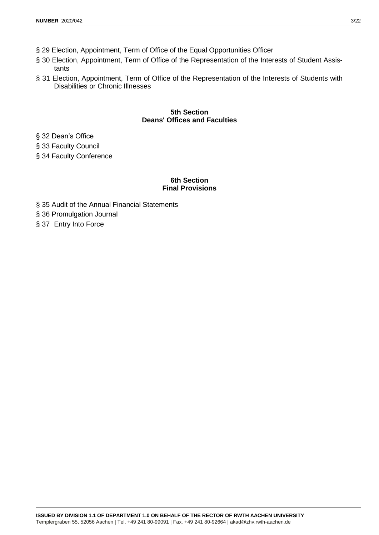- § 29 Election, Appointment, Term of Office of the Equal Opportunities Officer
- § 30 Election, Appointment, Term of Office of the Representation of the Interests of Student Assistants
- § 31 Election, Appointment, Term of Office of the Representation of the Interests of Students with Disabilities or Chronic Illnesses

# **5th Section Deans' Offices and Faculties**

§ 32 Dean's Office

§ 33 Faculty Council

§ 34 Faculty Conference

# **6th Section Final Provisions**

§ 35 Audit of the Annual Financial Statements

§ 36 Promulgation Journal

§ 37 Entry Into Force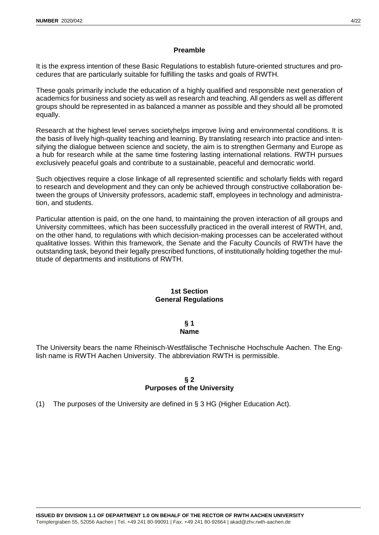#### **Preamble**

It is the express intention of these Basic Regulations to establish future-oriented structures and procedures that are particularly suitable for fulfilling the tasks and goals of RWTH.

These goals primarily include the education of a highly qualified and responsible next generation of academics for business and society as well as research and teaching. All genders as well as different groups should be represented in as balanced a manner as possible and they should all be promoted equally.

Research at the highest level serves societyhelps improve living and environmental conditions. It is the basis of lively high-quality teaching and learning. By translating research into practice and intensifying the dialogue between science and society, the aim is to strengthen Germany and Europe as a hub for research while at the same time fostering lasting international relations. RWTH pursues exclusively peaceful goals and contribute to a sustainable, peaceful and democratic world.

Such objectives require a close linkage of all represented scientific and scholarly fields with regard to research and development and they can only be achieved through constructive collaboration between the groups of University professors, academic staff, employees in technology and administration, and students.

Particular attention is paid, on the one hand, to maintaining the proven interaction of all groups and University committees, which has been successfully practiced in the overall interest of RWTH, and, on the other hand, to regulations with which decision-making processes can be accelerated without qualitative losses. Within this framework, the Senate and the Faculty Councils of RWTH have the outstanding task, beyond their legally prescribed functions, of institutionally holding together the multitude of departments and institutions of RWTH.

### **1st Section General Regulations**

#### **§ 1 Name**

The University bears the name Rheinisch-Westfälische Technische Hochschule Aachen. The English name is RWTH Aachen University. The abbreviation RWTH is permissible.

# **§ 2 Purposes of the University**

(1) The purposes of the University are defined in § 3 HG (Higher Education Act).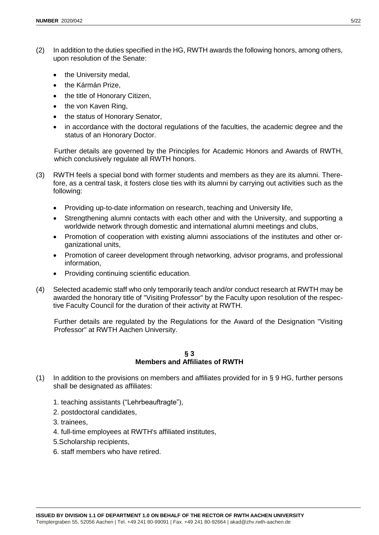- (2) In addition to the duties specified in the HG, RWTH awards the following honors, among others, upon resolution of the Senate:
	- the University medal,
	- the Kármán Prize,
	- the title of Honorary Citizen,
	- the von Kaven Ring,
	- the status of Honorary Senator,
	- in accordance with the doctoral regulations of the faculties, the academic degree and the status of an Honorary Doctor.

Further details are governed by the Principles for Academic Honors and Awards of RWTH, which conclusively regulate all RWTH honors.

- (3) RWTH feels a special bond with former students and members as they are its alumni. Therefore, as a central task, it fosters close ties with its alumni by carrying out activities such as the following:
	- Providing up-to-date information on research, teaching and University life,
	- Strengthening alumni contacts with each other and with the University, and supporting a worldwide network through domestic and international alumni meetings and clubs,
	- Promotion of cooperation with existing alumni associations of the institutes and other organizational units,
	- Promotion of career development through networking, advisor programs, and professional information,
	- Providing continuing scientific education.
- (4) Selected academic staff who only temporarily teach and/or conduct research at RWTH may be awarded the honorary title of "Visiting Professor" by the Faculty upon resolution of the respective Faculty Council for the duration of their activity at RWTH.

Further details are regulated by the Regulations for the Award of the Designation "Visiting Professor" at RWTH Aachen University.

### **§ 3 Members and Affiliates of RWTH**

- (1) In addition to the provisions on members and affiliates provided for in  $\S$  9 HG, further persons shall be designated as affiliates:
	- 1. teaching assistants ("Lehrbeauftragte"),
	- 2. postdoctoral candidates,
	- 3. trainees,
	- 4. full-time employees at RWTH's affiliated institutes,
	- 5.Scholarship recipients,
	- 6. staff members who have retired.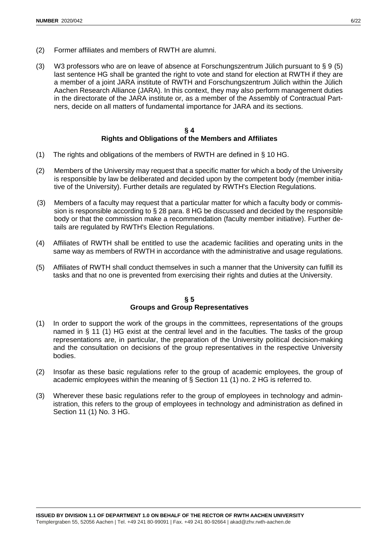- (2) Former affiliates and members of RWTH are alumni.
- (3) W3 professors who are on leave of absence at Forschungszentrum Jülich pursuant to § 9 (5) last sentence HG shall be granted the right to vote and stand for election at RWTH if they are a member of a joint JARA institute of RWTH and Forschungszentrum Jülich within the Jülich Aachen Research Alliance (JARA). In this context, they may also perform management duties in the directorate of the JARA institute or, as a member of the Assembly of Contractual Partners, decide on all matters of fundamental importance for JARA and its sections.

### **§ 4 Rights and Obligations of the Members and Affiliates**

- (1) The rights and obligations of the members of RWTH are defined in § 10 HG.
- (2) Members of the University may request that a specific matter for which a body of the University is responsible by law be deliberated and decided upon by the competent body (member initiative of the University). Further details are regulated by RWTH's Election Regulations.
- (3) Members of a faculty may request that a particular matter for which a faculty body or commission is responsible according to § 28 para. 8 HG be discussed and decided by the responsible body or that the commission make a recommendation (faculty member initiative). Further details are regulated by RWTH's Election Regulations.
- (4) Affiliates of RWTH shall be entitled to use the academic facilities and operating units in the same way as members of RWTH in accordance with the administrative and usage regulations.
- (5) Affiliates of RWTH shall conduct themselves in such a manner that the University can fulfill its tasks and that no one is prevented from exercising their rights and duties at the University.

# **§ 5 Groups and Group Representatives**

- (1) In order to support the work of the groups in the committees, representations of the groups named in § 11 (1) HG exist at the central level and in the faculties. The tasks of the group representations are, in particular, the preparation of the University political decision-making and the consultation on decisions of the group representatives in the respective University bodies.
- (2) Insofar as these basic regulations refer to the group of academic employees, the group of academic employees within the meaning of § Section 11 (1) no. 2 HG is referred to.
- (3) Wherever these basic regulations refer to the group of employees in technology and administration, this refers to the group of employees in technology and administration as defined in Section 11 (1) No. 3 HG.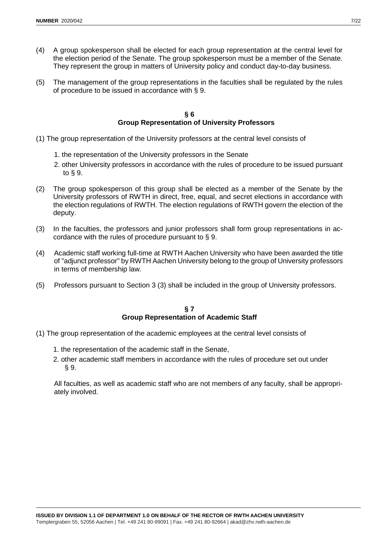- (4) A group spokesperson shall be elected for each group representation at the central level for the election period of the Senate. The group spokesperson must be a member of the Senate. They represent the group in matters of University policy and conduct day-to-day business.
- (5) The management of the group representations in the faculties shall be regulated by the rules of procedure to be issued in accordance with § 9.

#### **§ 6 Group Representation of University Professors**

- (1) The group representation of the University professors at the central level consists of
	- 1. the representation of the University professors in the Senate
	- 2. other University professors in accordance with the rules of procedure to be issued pursuant to § 9.
- (2) The group spokesperson of this group shall be elected as a member of the Senate by the University professors of RWTH in direct, free, equal, and secret elections in accordance with the election regulations of RWTH. The election regulations of RWTH govern the election of the deputy.
- (3) In the faculties, the professors and junior professors shall form group representations in accordance with the rules of procedure pursuant to § 9.
- (4) Academic staff working full-time at RWTH Aachen University who have been awarded the title of "adjunct professor" by RWTH Aachen University belong to the group of University professors in terms of membership law.
- (5) Professors pursuant to Section 3 (3) shall be included in the group of University professors.

#### **§ 7 Group Representation of Academic Staff**

- (1) The group representation of the academic employees at the central level consists of
	- 1. the representation of the academic staff in the Senate,
	- 2. other academic staff members in accordance with the rules of procedure set out under § 9.

All faculties, as well as academic staff who are not members of any faculty, shall be appropriately involved.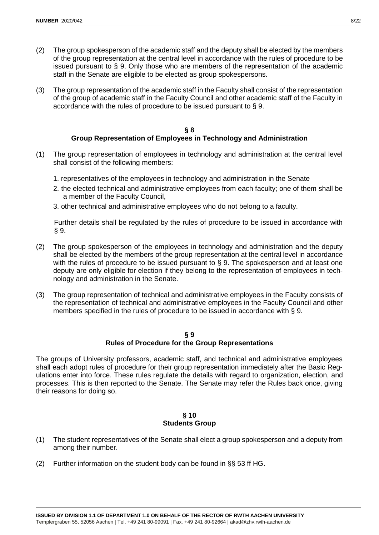- (2) The group spokesperson of the academic staff and the deputy shall be elected by the members of the group representation at the central level in accordance with the rules of procedure to be issued pursuant to § 9. Only those who are members of the representation of the academic staff in the Senate are eligible to be elected as group spokespersons.
- (3) The group representation of the academic staff in the Faculty shall consist of the representation of the group of academic staff in the Faculty Council and other academic staff of the Faculty in accordance with the rules of procedure to be issued pursuant to § 9.

#### **§ 8 Group Representation of Employees in Technology and Administration**

- (1) The group representation of employees in technology and administration at the central level shall consist of the following members:
	- 1. representatives of the employees in technology and administration in the Senate
	- 2. the elected technical and administrative employees from each faculty; one of them shall be a member of the Faculty Council,
	- 3. other technical and administrative employees who do not belong to a faculty.

Further details shall be regulated by the rules of procedure to be issued in accordance with § 9.

- (2) The group spokesperson of the employees in technology and administration and the deputy shall be elected by the members of the group representation at the central level in accordance with the rules of procedure to be issued pursuant to § 9. The spokesperson and at least one deputy are only eligible for election if they belong to the representation of employees in technology and administration in the Senate.
- (3) The group representation of technical and administrative employees in the Faculty consists of the representation of technical and administrative employees in the Faculty Council and other members specified in the rules of procedure to be issued in accordance with § 9.

#### **§ 9 Rules of Procedure for the Group Representations**

The groups of University professors, academic staff, and technical and administrative employees shall each adopt rules of procedure for their group representation immediately after the Basic Regulations enter into force. These rules regulate the details with regard to organization, election, and processes. This is then reported to the Senate. The Senate may refer the Rules back once, giving their reasons for doing so.

### **§ 10 Students Group**

- (1) The student representatives of the Senate shall elect a group spokesperson and a deputy from among their number.
- (2) Further information on the student body can be found in §§ 53 ff HG.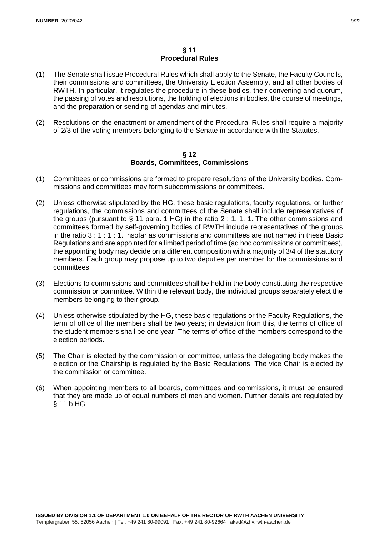- (1) The Senate shall issue Procedural Rules which shall apply to the Senate, the Faculty Councils, their commissions and committees, the University Election Assembly, and all other bodies of RWTH. In particular, it regulates the procedure in these bodies, their convening and quorum, the passing of votes and resolutions, the holding of elections in bodies, the course of meetings, and the preparation or sending of agendas and minutes.
- (2) Resolutions on the enactment or amendment of the Procedural Rules shall require a majority of 2/3 of the voting members belonging to the Senate in accordance with the Statutes.

#### **§ 12 Boards, Committees, Commissions**

- (1) Committees or commissions are formed to prepare resolutions of the University bodies. Commissions and committees may form subcommissions or committees.
- (2) Unless otherwise stipulated by the HG, these basic regulations, faculty regulations, or further regulations, the commissions and committees of the Senate shall include representatives of the groups (pursuant to  $\S$  11 para. 1 HG) in the ratio 2 : 1. 1. 1. The other commissions and committees formed by self-governing bodies of RWTH include representatives of the groups in the ratio 3 : 1 : 1 : 1. Insofar as commissions and committees are not named in these Basic Regulations and are appointed for a limited period of time (ad hoc commissions or committees), the appointing body may decide on a different composition with a majority of 3/4 of the statutory members. Each group may propose up to two deputies per member for the commissions and committees.
- (3) Elections to commissions and committees shall be held in the body constituting the respective commission or committee. Within the relevant body, the individual groups separately elect the members belonging to their group.
- (4) Unless otherwise stipulated by the HG, these basic regulations or the Faculty Regulations, the term of office of the members shall be two years; in deviation from this, the terms of office of the student members shall be one year. The terms of office of the members correspond to the election periods.
- (5) The Chair is elected by the commission or committee, unless the delegating body makes the election or the Chairship is regulated by the Basic Regulations. The vice Chair is elected by the commission or committee.
- (6) When appointing members to all boards, committees and commissions, it must be ensured that they are made up of equal numbers of men and women. Further details are regulated by § 11 b HG.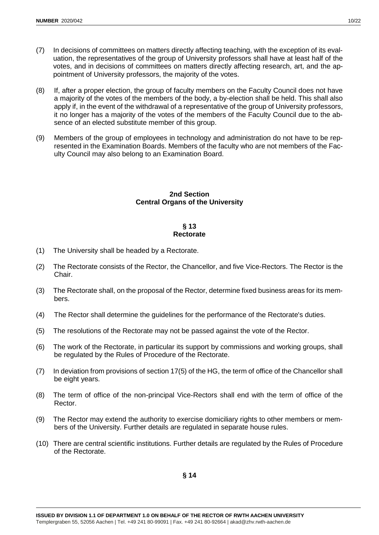- (7) In decisions of committees on matters directly affecting teaching, with the exception of its evaluation, the representatives of the group of University professors shall have at least half of the votes, and in decisions of committees on matters directly affecting research, art, and the appointment of University professors, the majority of the votes.
- (8) If, after a proper election, the group of faculty members on the Faculty Council does not have a majority of the votes of the members of the body, a by-election shall be held. This shall also apply if, in the event of the withdrawal of a representative of the group of University professors, it no longer has a majority of the votes of the members of the Faculty Council due to the absence of an elected substitute member of this group.
- (9) Members of the group of employees in technology and administration do not have to be represented in the Examination Boards. Members of the faculty who are not members of the Faculty Council may also belong to an Examination Board.

# **2nd Section Central Organs of the University**

# **§ 13 Rectorate**

- (1) The University shall be headed by a Rectorate.
- (2) The Rectorate consists of the Rector, the Chancellor, and five Vice-Rectors. The Rector is the Chair.
- (3) The Rectorate shall, on the proposal of the Rector, determine fixed business areas for its members.
- (4) The Rector shall determine the guidelines for the performance of the Rectorate's duties.
- (5) The resolutions of the Rectorate may not be passed against the vote of the Rector.
- (6) The work of the Rectorate, in particular its support by commissions and working groups, shall be regulated by the Rules of Procedure of the Rectorate.
- (7) In deviation from provisions of section 17(5) of the HG, the term of office of the Chancellor shall be eight years.
- (8) The term of office of the non-principal Vice-Rectors shall end with the term of office of the Rector.
- (9) The Rector may extend the authority to exercise domiciliary rights to other members or members of the University. Further details are regulated in separate house rules.
- (10) There are central scientific institutions. Further details are regulated by the Rules of Procedure of the Rectorate.

**§ 14**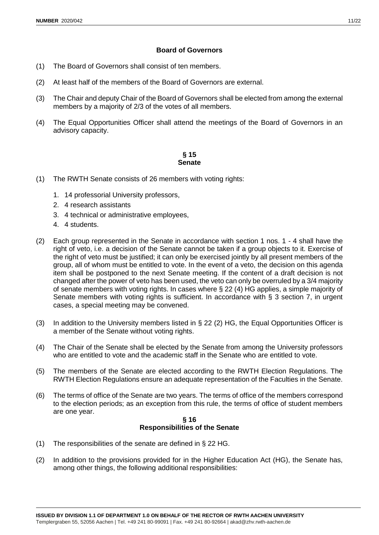# **Board of Governors**

- (1) The Board of Governors shall consist of ten members.
- (2) At least half of the members of the Board of Governors are external.
- (3) The Chair and deputy Chair of the Board of Governors shall be elected from among the external members by a majority of 2/3 of the votes of all members.
- (4) The Equal Opportunities Officer shall attend the meetings of the Board of Governors in an advisory capacity.

# **§ 15 Senate**

- (1) The RWTH Senate consists of 26 members with voting rights:
	- 1. 14 professorial University professors,
	- 2. 4 research assistants
	- 3. 4 technical or administrative employees,
	- 4. 4 students.
- (2) Each group represented in the Senate in accordance with section 1 nos. 1 4 shall have the right of veto, i.e. a decision of the Senate cannot be taken if a group objects to it. Exercise of the right of veto must be justified; it can only be exercised jointly by all present members of the group, all of whom must be entitled to vote. In the event of a veto, the decision on this agenda item shall be postponed to the next Senate meeting. If the content of a draft decision is not changed after the power of veto has been used, the veto can only be overruled by a 3/4 majority of senate members with voting rights. In cases where § 22 (4) HG applies, a simple majority of Senate members with voting rights is sufficient. In accordance with  $\S$  3 section 7, in urgent cases, a special meeting may be convened.
- (3) In addition to the University members listed in § 22 (2) HG, the Equal Opportunities Officer is a member of the Senate without voting rights.
- (4) The Chair of the Senate shall be elected by the Senate from among the University professors who are entitled to vote and the academic staff in the Senate who are entitled to vote.
- (5) The members of the Senate are elected according to the RWTH Election Regulations. The RWTH Election Regulations ensure an adequate representation of the Faculties in the Senate.
- (6) The terms of office of the Senate are two years. The terms of office of the members correspond to the election periods; as an exception from this rule, the terms of office of student members are one year.

#### **§ 16 Responsibilities of the Senate**

- (1) The responsibilities of the senate are defined in § 22 HG.
- (2) In addition to the provisions provided for in the Higher Education Act (HG), the Senate has, among other things, the following additional responsibilities: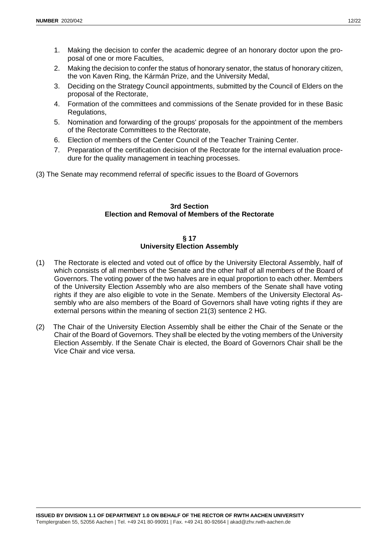- 1. Making the decision to confer the academic degree of an honorary doctor upon the proposal of one or more Faculties,
- 2. Making the decision to confer the status of honorary senator, the status of honorary citizen, the von Kaven Ring, the Kármán Prize, and the University Medal,
- 3. Deciding on the Strategy Council appointments, submitted by the Council of Elders on the proposal of the Rectorate,
- 4. Formation of the committees and commissions of the Senate provided for in these Basic Regulations,
- 5. Nomination and forwarding of the groups' proposals for the appointment of the members of the Rectorate Committees to the Rectorate,
- 6. Election of members of the Center Council of the Teacher Training Center.
- 7. Preparation of the certification decision of the Rectorate for the internal evaluation procedure for the quality management in teaching processes.

(3) The Senate may recommend referral of specific issues to the Board of Governors

# **3rd Section Election and Removal of Members of the Rectorate**

# **§ 17 University Election Assembly**

- (1) The Rectorate is elected and voted out of office by the University Electoral Assembly, half of which consists of all members of the Senate and the other half of all members of the Board of Governors. The voting power of the two halves are in equal proportion to each other. Members of the University Election Assembly who are also members of the Senate shall have voting rights if they are also eligible to vote in the Senate. Members of the University Electoral Assembly who are also members of the Board of Governors shall have voting rights if they are external persons within the meaning of section 21(3) sentence 2 HG.
- (2) The Chair of the University Election Assembly shall be either the Chair of the Senate or the Chair of the Board of Governors. They shall be elected by the voting members of the University Election Assembly. If the Senate Chair is elected, the Board of Governors Chair shall be the Vice Chair and vice versa.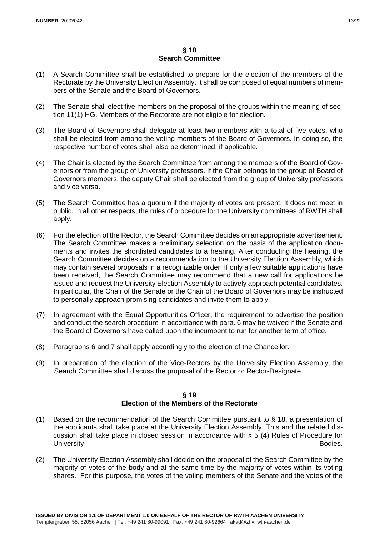- (1) A Search Committee shall be established to prepare for the election of the members of the Rectorate by the University Election Assembly. It shall be composed of equal numbers of members of the Senate and the Board of Governors.
- (2) The Senate shall elect five members on the proposal of the groups within the meaning of section 11(1) HG. Members of the Rectorate are not eligible for election.
- (3) The Board of Governors shall delegate at least two members with a total of five votes, who shall be elected from among the voting members of the Board of Governors. In doing so, the respective number of votes shall also be determined, if applicable.
- (4) The Chair is elected by the Search Committee from among the members of the Board of Governors or from the group of University professors. If the Chair belongs to the group of Board of Governors members, the deputy Chair shall be elected from the group of University professors and vice versa.
- (5) The Search Committee has a quorum if the majority of votes are present. It does not meet in public. In all other respects, the rules of procedure for the University committees of RWTH shall apply.
- (6) For the election of the Rector, the Search Committee decides on an appropriate advertisement. The Search Committee makes a preliminary selection on the basis of the application documents and invites the shortlisted candidates to a hearing. After conducting the hearing, the Search Committee decides on a recommendation to the University Election Assembly, which may contain several proposals in a recognizable order. If only a few suitable applications have been received, the Search Committee may recommend that a new call for applications be issued and request the University Election Assembly to actively approach potential candidates. In particular, the Chair of the Senate or the Chair of the Board of Governors may be instructed to personally approach promising candidates and invite them to apply.
- (7) In agreement with the Equal Opportunities Officer, the requirement to advertise the position and conduct the search procedure in accordance with para. 6 may be waived if the Senate and the Board of Governors have called upon the incumbent to run for another term of office.
- (8) Paragraphs 6 and 7 shall apply accordingly to the election of the Chancellor.
- (9) In preparation of the election of the Vice-Rectors by the University Election Assembly, the Search Committee shall discuss the proposal of the Rector or Rector-Designate.

# **§ 19 Election of the Members of the Rectorate**

- (1) Based on the recommendation of the Search Committee pursuant to § 18, a presentation of the applicants shall take place at the University Election Assembly. This and the related discussion shall take place in closed session in accordance with § 5 (4) Rules of Procedure for University **Bodies.**
- (2) The University Election Assembly shall decide on the proposal of the Search Committee by the majority of votes of the body and at the same time by the majority of votes within its voting shares. For this purpose, the votes of the voting members of the Senate and the votes of the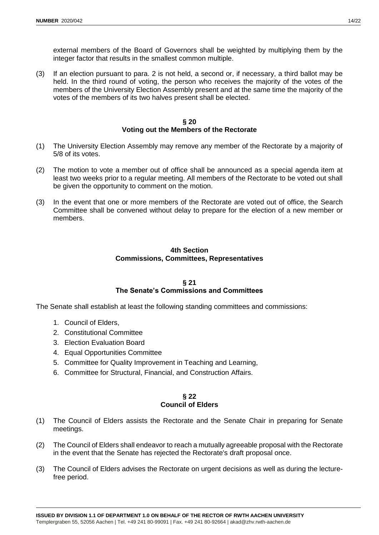external members of the Board of Governors shall be weighted by multiplying them by the integer factor that results in the smallest common multiple.

(3) If an election pursuant to para. 2 is not held, a second or, if necessary, a third ballot may be held. In the third round of voting, the person who receives the majority of the votes of the members of the University Election Assembly present and at the same time the majority of the votes of the members of its two halves present shall be elected.

### **§ 20 Voting out the Members of the Rectorate**

- (1) The University Election Assembly may remove any member of the Rectorate by a majority of 5/8 of its votes.
- (2) The motion to vote a member out of office shall be announced as a special agenda item at least two weeks prior to a regular meeting. All members of the Rectorate to be voted out shall be given the opportunity to comment on the motion.
- (3) In the event that one or more members of the Rectorate are voted out of office, the Search Committee shall be convened without delay to prepare for the election of a new member or members.

# **4th Section Commissions, Committees, Representatives**

#### **§ 21 The Senate's Commissions and Committees**

The Senate shall establish at least the following standing committees and commissions:

- 1. Council of Elders,
- 2. Constitutional Committee
- 3. Election Evaluation Board
- 4. Equal Opportunities Committee
- 5. Committee for Quality Improvement in Teaching and Learning,
- 6. Committee for Structural, Financial, and Construction Affairs.

### **§ 22 Council of Elders**

- (1) The Council of Elders assists the Rectorate and the Senate Chair in preparing for Senate meetings.
- (2) The Council of Elders shall endeavor to reach a mutually agreeable proposal with the Rectorate in the event that the Senate has rejected the Rectorate's draft proposal once.
- (3) The Council of Elders advises the Rectorate on urgent decisions as well as during the lecturefree period.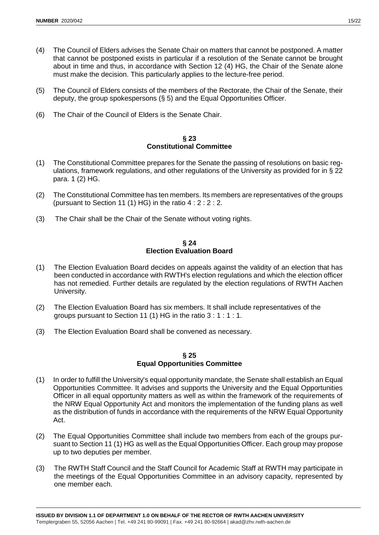- (4) The Council of Elders advises the Senate Chair on matters that cannot be postponed. A matter that cannot be postponed exists in particular if a resolution of the Senate cannot be brought about in time and thus, in accordance with Section 12 (4) HG, the Chair of the Senate alone must make the decision. This particularly applies to the lecture-free period.
- (5) The Council of Elders consists of the members of the Rectorate, the Chair of the Senate, their deputy, the group spokespersons (§ 5) and the Equal Opportunities Officer.
- (6) The Chair of the Council of Elders is the Senate Chair.

#### **§ 23 Constitutional Committee**

- (1) The Constitutional Committee prepares for the Senate the passing of resolutions on basic regulations, framework regulations, and other regulations of the University as provided for in § 22 para. 1 (2) HG.
- (2) The Constitutional Committee has ten members. Its members are representatives of the groups (pursuant to Section 11 (1) HG) in the ratio  $4:2:2:2$ .
- (3) The Chair shall be the Chair of the Senate without voting rights.

#### **§ 24 Election Evaluation Board**

- (1) The Election Evaluation Board decides on appeals against the validity of an election that has been conducted in accordance with RWTH's election regulations and which the election officer has not remedied. Further details are regulated by the election regulations of RWTH Aachen University.
- (2) The Election Evaluation Board has six members. It shall include representatives of the groups pursuant to Section 11 (1) HG in the ratio 3 : 1 : 1 : 1.
- (3) The Election Evaluation Board shall be convened as necessary.

# **§ 25 Equal Opportunities Committee**

- (1) In order to fulfill the University's equal opportunity mandate, the Senate shall establish an Equal Opportunities Committee. It advises and supports the University and the Equal Opportunities Officer in all equal opportunity matters as well as within the framework of the requirements of the NRW Equal Opportunity Act and monitors the implementation of the funding plans as well as the distribution of funds in accordance with the requirements of the NRW Equal Opportunity Act.
- (2) The Equal Opportunities Committee shall include two members from each of the groups pursuant to Section 11 (1) HG as well as the Equal Opportunities Officer. Each group may propose up to two deputies per member.
- (3) The RWTH Staff Council and the Staff Council for Academic Staff at RWTH may participate in the meetings of the Equal Opportunities Committee in an advisory capacity, represented by one member each.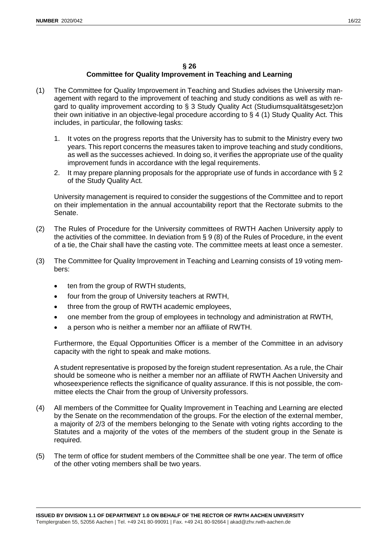# **§ 26**

# **Committee for Quality Improvement in Teaching and Learning**

- (1) The Committee for Quality Improvement in Teaching and Studies advises the University management with regard to the improvement of teaching and study conditions as well as with regard to quality improvement according to § 3 Study Quality Act (Studiumsqualitätsgesetz)on their own initiative in an objective-legal procedure according to § 4 (1) Study Quality Act. This includes, in particular, the following tasks:
	- 1. It votes on the progress reports that the University has to submit to the Ministry every two years. This report concerns the measures taken to improve teaching and study conditions, as well as the successes achieved. In doing so, it verifies the appropriate use of the quality improvement funds in accordance with the legal requirements.
	- 2. It may prepare planning proposals for the appropriate use of funds in accordance with § 2 of the Study Quality Act.

University management is required to consider the suggestions of the Committee and to report on their implementation in the annual accountability report that the Rectorate submits to the Senate.

- (2) The Rules of Procedure for the University committees of RWTH Aachen University apply to the activities of the committee. In deviation from § 9 (8) of the Rules of Procedure, in the event of a tie, the Chair shall have the casting vote. The committee meets at least once a semester.
- (3) The Committee for Quality Improvement in Teaching and Learning consists of 19 voting members:
	- ten from the group of RWTH students,
	- four from the group of University teachers at RWTH,
	- three from the group of RWTH academic employees,
	- one member from the group of employees in technology and administration at RWTH,
	- a person who is neither a member nor an affiliate of RWTH.

Furthermore, the Equal Opportunities Officer is a member of the Committee in an advisory capacity with the right to speak and make motions.

A student representative is proposed by the foreign student representation. As a rule, the Chair should be someone who is neither a member nor an affiliate of RWTH Aachen University and whoseexperience reflects the significance of quality assurance. If this is not possible, the committee elects the Chair from the group of University professors.

- (4) All members of the Committee for Quality Improvement in Teaching and Learning are elected by the Senate on the recommendation of the groups. For the election of the external member, a majority of 2/3 of the members belonging to the Senate with voting rights according to the Statutes and a majority of the votes of the members of the student group in the Senate is required.
- (5) The term of office for student members of the Committee shall be one year. The term of office of the other voting members shall be two years.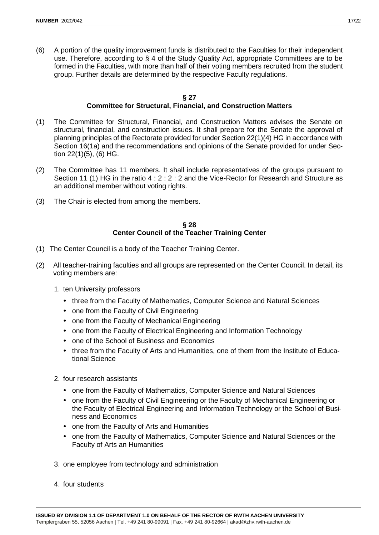(6) A portion of the quality improvement funds is distributed to the Faculties for their independent use. Therefore, according to § 4 of the Study Quality Act, appropriate Committees are to be formed in the Faculties, with more than half of their voting members recruited from the student group. Further details are determined by the respective Faculty regulations.

# **§ 27 Committee for Structural, Financial, and Construction Matters**

- (1) The Committee for Structural, Financial, and Construction Matters advises the Senate on structural, financial, and construction issues. It shall prepare for the Senate the approval of planning principles of the Rectorate provided for under Section 22(1)(4) HG in accordance with Section 16(1a) and the recommendations and opinions of the Senate provided for under Section 22(1)(5), (6) HG.
- (2) The Committee has 11 members. It shall include representatives of the groups pursuant to Section 11 (1) HG in the ratio 4 : 2 : 2 : 2 and the Vice-Rector for Research and Structure as an additional member without voting rights.
- (3) The Chair is elected from among the members.

# **§ 28 Center Council of the Teacher Training Center**

- (1) The Center Council is a body of the Teacher Training Center.
- (2) All teacher-training faculties and all groups are represented on the Center Council. In detail, its voting members are:
	- 1. ten University professors
		- three from the Faculty of Mathematics, Computer Science and Natural Sciences
		- one from the Faculty of Civil Engineering
		- one from the Faculty of Mechanical Engineering
		- one from the Faculty of Electrical Engineering and Information Technology
		- one of the School of Business and Economics
		- three from the Faculty of Arts and Humanities, one of them from the Institute of Educational Science
	- 2. four research assistants
		- one from the Faculty of Mathematics, Computer Science and Natural Sciences
		- one from the Faculty of Civil Engineering or the Faculty of Mechanical Engineering or the Faculty of Electrical Engineering and Information Technology or the School of Business and Economics
		- one from the Faculty of Arts and Humanities
		- one from the Faculty of Mathematics, Computer Science and Natural Sciences or the Faculty of Arts an Humanities
	- 3. one employee from technology and administration
	- 4. four students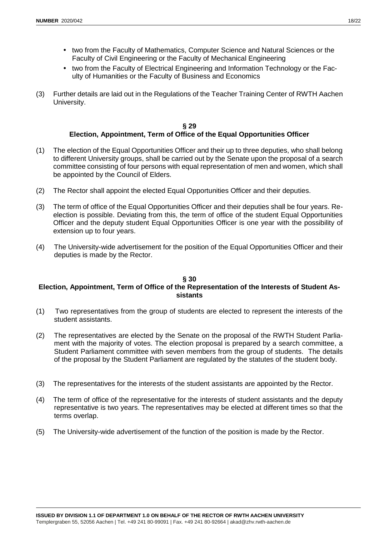- two from the Faculty of Mathematics, Computer Science and Natural Sciences or the Faculty of Civil Engineering or the Faculty of Mechanical Engineering
- two from the Faculty of Electrical Engineering and Information Technology or the Faculty of Humanities or the Faculty of Business and Economics
- (3) Further details are laid out in the Regulations of the Teacher Training Center of RWTH Aachen University.

# **§ 29 Election, Appointment, Term of Office of the Equal Opportunities Officer**

- (1) The election of the Equal Opportunities Officer and their up to three deputies, who shall belong to different University groups, shall be carried out by the Senate upon the proposal of a search committee consisting of four persons with equal representation of men and women, which shall be appointed by the Council of Elders.
- (2) The Rector shall appoint the elected Equal Opportunities Officer and their deputies.
- (3) The term of office of the Equal Opportunities Officer and their deputies shall be four years. Reelection is possible. Deviating from this, the term of office of the student Equal Opportunities Officer and the deputy student Equal Opportunities Officer is one year with the possibility of extension up to four years.
- (4) The University-wide advertisement for the position of the Equal Opportunities Officer and their deputies is made by the Rector.

# **§ 30**

# **Election, Appointment, Term of Office of the Representation of the Interests of Student Assistants**

- (1) Two representatives from the group of students are elected to represent the interests of the student assistants.
- (2) The representatives are elected by the Senate on the proposal of the RWTH Student Parliament with the majority of votes. The election proposal is prepared by a search committee, a Student Parliament committee with seven members from the group of students. The details of the proposal by the Student Parliament are regulated by the statutes of the student body.
- (3) The representatives for the interests of the student assistants are appointed by the Rector.
- (4) The term of office of the representative for the interests of student assistants and the deputy representative is two years. The representatives may be elected at different times so that the terms overlap.
- (5) The University-wide advertisement of the function of the position is made by the Rector.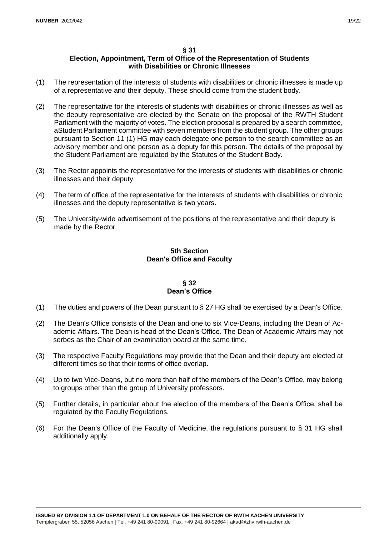# **§ 31**

# **Election, Appointment, Term of Office of the Representation of Students with Disabilities or Chronic Illnesses**

- (1) The representation of the interests of students with disabilities or chronic illnesses is made up of a representative and their deputy. These should come from the student body.
- (2) The representative for the interests of students with disabilities or chronic illnesses as well as the deputy representative are elected by the Senate on the proposal of the RWTH Student Parliament with the majority of votes. The election proposal is prepared by a search committee, aStudent Parliament committee with seven members from the student group. The other groups pursuant to Section 11 (1) HG may each delegate one person to the search committee as an advisory member and one person as a deputy for this person. The details of the proposal by the Student Parliament are regulated by the Statutes of the Student Body.
- (3) The Rector appoints the representative for the interests of students with disabilities or chronic illnesses and their deputy.
- (4) The term of office of the representative for the interests of students with disabilities or chronic illnesses and the deputy representative is two years.
- (5) The University-wide advertisement of the positions of the representative and their deputy is made by the Rector.

# **5th Section Dean's Office and Faculty**

# **§ 32 Dean's Office**

- (1) The duties and powers of the Dean pursuant to  $\S 27$  HG shall be exercised by a Dean's Office.
- (2) The Dean's Office consists of the Dean and one to six Vice-Deans, including the Dean of Academic Affairs. The Dean is head of the Dean's Office. The Dean of Academic Affairs may not serbes as the Chair of an examination board at the same time.
- (3) The respective Faculty Regulations may provide that the Dean and their deputy are elected at different times so that their terms of office overlap.
- (4) Up to two Vice-Deans, but no more than half of the members of the Dean's Office, may belong to groups other than the group of University professors.
- (5) Further details, in particular about the election of the members of the Dean's Office, shall be regulated by the Faculty Regulations.
- (6) For the Dean's Office of the Faculty of Medicine, the regulations pursuant to § 31 HG shall additionally apply.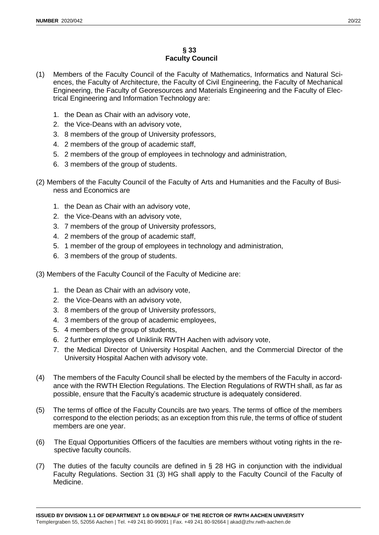# **§ 33 Faculty Council**

- (1) Members of the Faculty Council of the Faculty of Mathematics, Informatics and Natural Sciences, the Faculty of Architecture, the Faculty of Civil Engineering, the Faculty of Mechanical Engineering, the Faculty of Georesources and Materials Engineering and the Faculty of Electrical Engineering and Information Technology are:
	- 1. the Dean as Chair with an advisory vote,
	- 2. the Vice-Deans with an advisory vote,
	- 3. 8 members of the group of University professors,
	- 4. 2 members of the group of academic staff,
	- 5. 2 members of the group of employees in technology and administration,
	- 6. 3 members of the group of students.
- (2) Members of the Faculty Council of the Faculty of Arts and Humanities and the Faculty of Business and Economics are
	- 1. the Dean as Chair with an advisory vote,
	- 2. the Vice-Deans with an advisory vote,
	- 3. 7 members of the group of University professors,
	- 4. 2 members of the group of academic staff,
	- 5. 1 member of the group of employees in technology and administration,
	- 6. 3 members of the group of students.
- (3) Members of the Faculty Council of the Faculty of Medicine are:
	- 1. the Dean as Chair with an advisory vote,
	- 2. the Vice-Deans with an advisory vote,
	- 3. 8 members of the group of University professors,
	- 4. 3 members of the group of academic employees,
	- 5. 4 members of the group of students,
	- 6. 2 further employees of Uniklinik RWTH Aachen with advisory vote,
	- 7. the Medical Director of University Hospital Aachen, and the Commercial Director of the University Hospital Aachen with advisory vote.
- (4) The members of the Faculty Council shall be elected by the members of the Faculty in accordance with the RWTH Election Regulations. The Election Regulations of RWTH shall, as far as possible, ensure that the Faculty's academic structure is adequately considered.
- (5) The terms of office of the Faculty Councils are two years. The terms of office of the members correspond to the election periods; as an exception from this rule, the terms of office of student members are one year.
- (6) The Equal Opportunities Officers of the faculties are members without voting rights in the respective faculty councils.
- (7) The duties of the faculty councils are defined in § 28 HG in conjunction with the individual Faculty Regulations. Section 31 (3) HG shall apply to the Faculty Council of the Faculty of Medicine.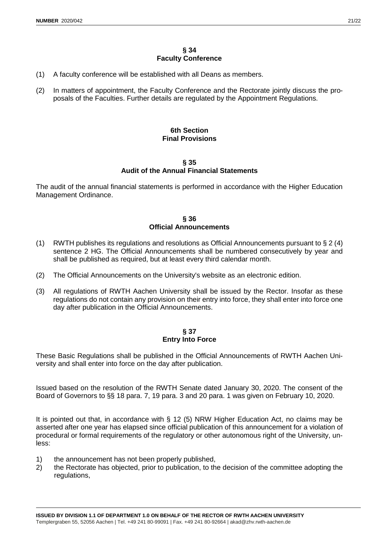- (1) A faculty conference will be established with all Deans as members.
- (2) In matters of appointment, the Faculty Conference and the Rectorate jointly discuss the proposals of the Faculties. Further details are regulated by the Appointment Regulations.

# **6th Section Final Provisions**

#### **§ 35 Audit of the Annual Financial Statements**

The audit of the annual financial statements is performed in accordance with the Higher Education Management Ordinance.

### **§ 36 Official Announcements**

- (1) RWTH publishes its regulations and resolutions as Official Announcements pursuant to  $\S 2(4)$ sentence 2 HG. The Official Announcements shall be numbered consecutively by year and shall be published as required, but at least every third calendar month.
- (2) The Official Announcements on the University's website as an electronic edition.
- (3) All regulations of RWTH Aachen University shall be issued by the Rector. Insofar as these regulations do not contain any provision on their entry into force, they shall enter into force one day after publication in the Official Announcements.

### **§ 37 Entry Into Force**

These Basic Regulations shall be published in the Official Announcements of RWTH Aachen University and shall enter into force on the day after publication.

Issued based on the resolution of the RWTH Senate dated January 30, 2020. The consent of the Board of Governors to §§ 18 para. 7, 19 para. 3 and 20 para. 1 was given on February 10, 2020.

It is pointed out that, in accordance with § 12 (5) NRW Higher Education Act, no claims may be asserted after one year has elapsed since official publication of this announcement for a violation of procedural or formal requirements of the regulatory or other autonomous right of the University, unless:

- 1) the announcement has not been properly published,
- 2) the Rectorate has objected, prior to publication, to the decision of the committee adopting the regulations,